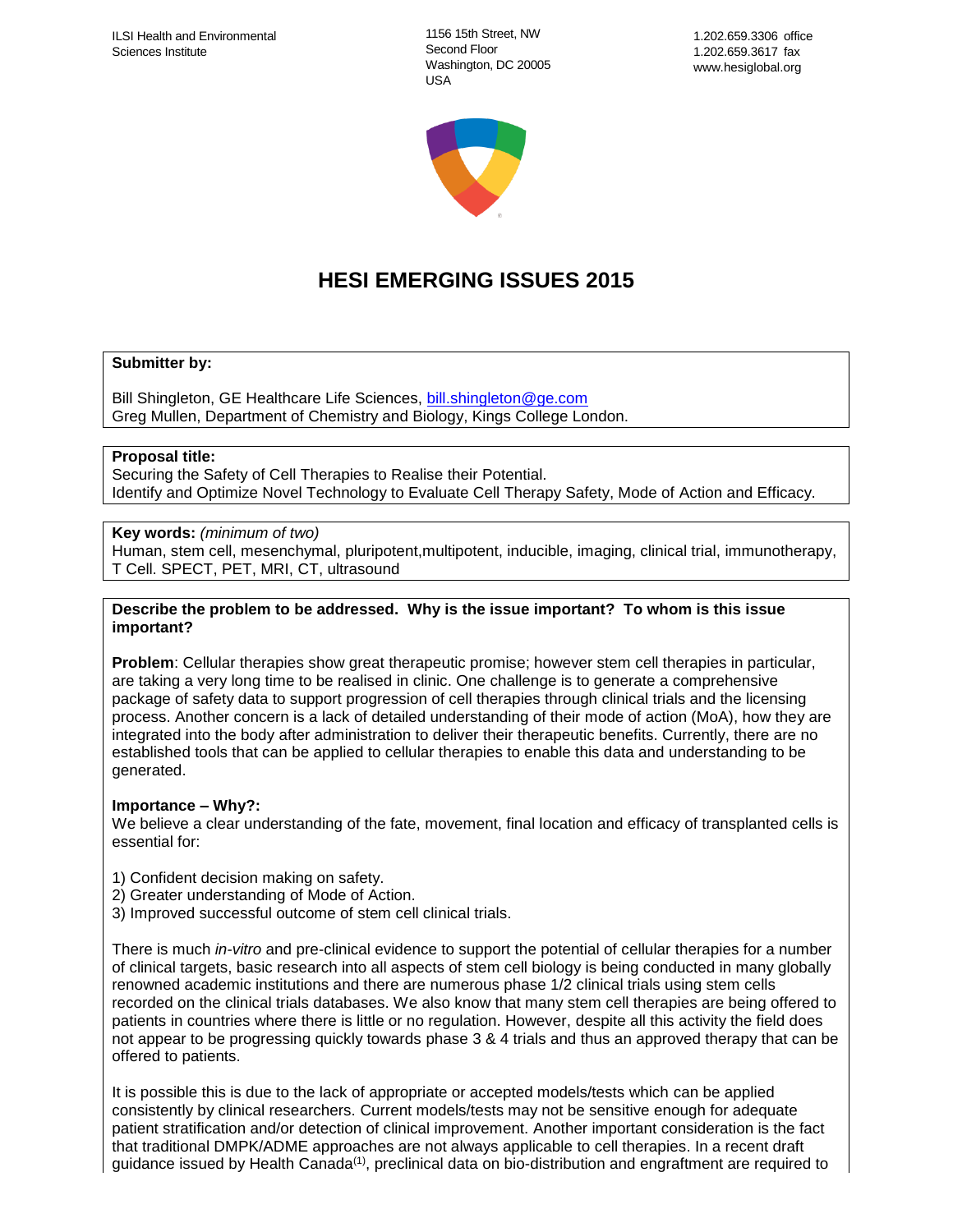1156 15th Street, NW Second Floor Washington, DC 20005 USA



# **HESI EMERGING ISSUES 2015**

## **Submitter by:**

Bill Shingleton, GE Healthcare Life Sciences, [bill.shingleton@ge.com](mailto:bill.shingleton@ge.com) Greg Mullen, Department of Chemistry and Biology, Kings College London.

## **Proposal title:**

Securing the Safety of Cell Therapies to Realise their Potential. Identify and Optimize Novel Technology to Evaluate Cell Therapy Safety, Mode of Action and Efficacy.

# **Key words:** *(minimum of two)*

Human, stem cell, mesenchymal, pluripotent,multipotent, inducible, imaging, clinical trial, immunotherapy, T Cell. SPECT, PET, MRI, CT, ultrasound

## **Describe the problem to be addressed. Why is the issue important? To whom is this issue important?**

**Problem**: Cellular therapies show great therapeutic promise; however stem cell therapies in particular, are taking a very long time to be realised in clinic. One challenge is to generate a comprehensive package of safety data to support progression of cell therapies through clinical trials and the licensing process. Another concern is a lack of detailed understanding of their mode of action (MoA), how they are integrated into the body after administration to deliver their therapeutic benefits. Currently, there are no established tools that can be applied to cellular therapies to enable this data and understanding to be generated.

## **Importance – Why?:**

We believe a clear understanding of the fate, movement, final location and efficacy of transplanted cells is essential for:

- 1) Confident decision making on safety.
- 2) Greater understanding of Mode of Action.
- 3) Improved successful outcome of stem cell clinical trials.

There is much *in-vitro* and pre-clinical evidence to support the potential of cellular therapies for a number of clinical targets, basic research into all aspects of stem cell biology is being conducted in many globally renowned academic institutions and there are numerous phase 1/2 clinical trials using stem cells recorded on the clinical trials databases. We also know that many stem cell therapies are being offered to patients in countries where there is little or no regulation. However, despite all this activity the field does not appear to be progressing quickly towards phase 3 & 4 trials and thus an approved therapy that can be offered to patients.

It is possible this is due to the lack of appropriate or accepted models/tests which can be applied consistently by clinical researchers. Current models/tests may not be sensitive enough for adequate patient stratification and/or detection of clinical improvement. Another important consideration is the fact that traditional DMPK/ADME approaches are not always applicable to cell therapies. In a recent draft guidance issued by Health Canada<sup>(1)</sup>, preclinical data on bio-distribution and engraftment are required to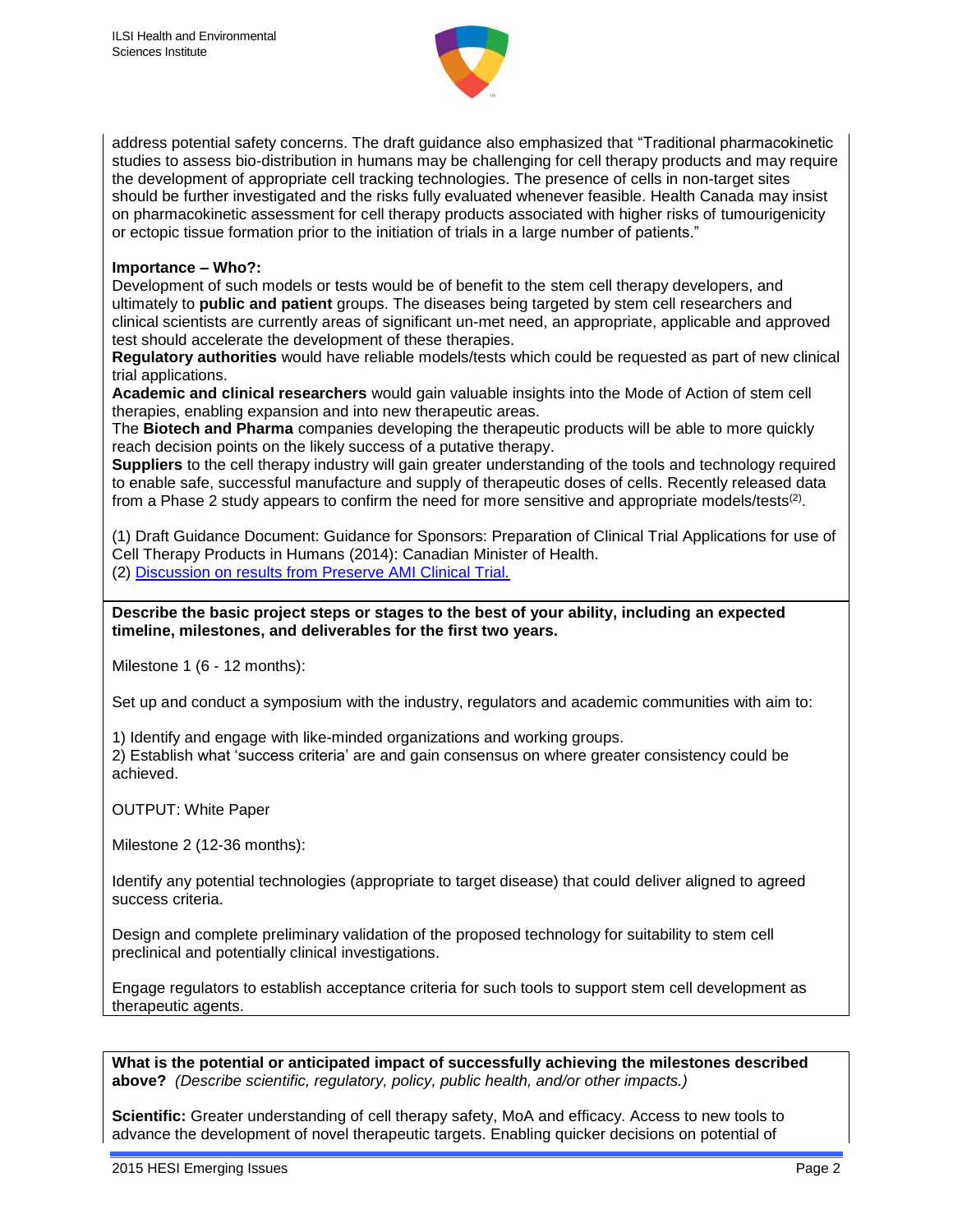

address potential safety concerns. The draft guidance also emphasized that "Traditional pharmacokinetic studies to assess bio-distribution in humans may be challenging for cell therapy products and may require the development of appropriate cell tracking technologies. The presence of cells in non-target sites should be further investigated and the risks fully evaluated whenever feasible. Health Canada may insist on pharmacokinetic assessment for cell therapy products associated with higher risks of tumourigenicity or ectopic tissue formation prior to the initiation of trials in a large number of patients."

## **Importance – Who?:**

Development of such models or tests would be of benefit to the stem cell therapy developers, and ultimately to **public and patient** groups. The diseases being targeted by stem cell researchers and clinical scientists are currently areas of significant un-met need, an appropriate, applicable and approved test should accelerate the development of these therapies.

**Regulatory authorities** would have reliable models/tests which could be requested as part of new clinical trial applications.

**Academic and clinical researchers** would gain valuable insights into the Mode of Action of stem cell therapies, enabling expansion and into new therapeutic areas.

The **Biotech and Pharma** companies developing the therapeutic products will be able to more quickly reach decision points on the likely success of a putative therapy.

**Suppliers** to the cell therapy industry will gain greater understanding of the tools and technology required to enable safe, successful manufacture and supply of therapeutic doses of cells. Recently released data from a Phase 2 study appears to confirm the need for more sensitive and appropriate models/tests<sup>(2)</sup>.

(1) Draft Guidance Document: Guidance for Sponsors: Preparation of Clinical Trial Applications for use of Cell Therapy Products in Humans (2014): Canadian Minister of Health. (2) [Discussion on results from Preserve AMI Clinical Trial.](http://www.neostem.com/media/press-releases/news-item/neostem-provides-further-information-regarding-phase-2-preserve/)

**Describe the basic project steps or stages to the best of your ability, including an expected timeline, milestones, and deliverables for the first two years.**

Milestone 1 (6 - 12 months):

Set up and conduct a symposium with the industry, regulators and academic communities with aim to:

1) Identify and engage with like-minded organizations and working groups.

2) Establish what 'success criteria' are and gain consensus on where greater consistency could be achieved.

OUTPUT: White Paper

Milestone 2 (12-36 months):

Identify any potential technologies (appropriate to target disease) that could deliver aligned to agreed success criteria.

Design and complete preliminary validation of the proposed technology for suitability to stem cell preclinical and potentially clinical investigations.

Engage regulators to establish acceptance criteria for such tools to support stem cell development as therapeutic agents.

**What is the potential or anticipated impact of successfully achieving the milestones described above?** *(Describe scientific, regulatory, policy, public health, and/or other impacts.)*

**Scientific:** Greater understanding of cell therapy safety, MoA and efficacy. Access to new tools to advance the development of novel therapeutic targets. Enabling quicker decisions on potential of